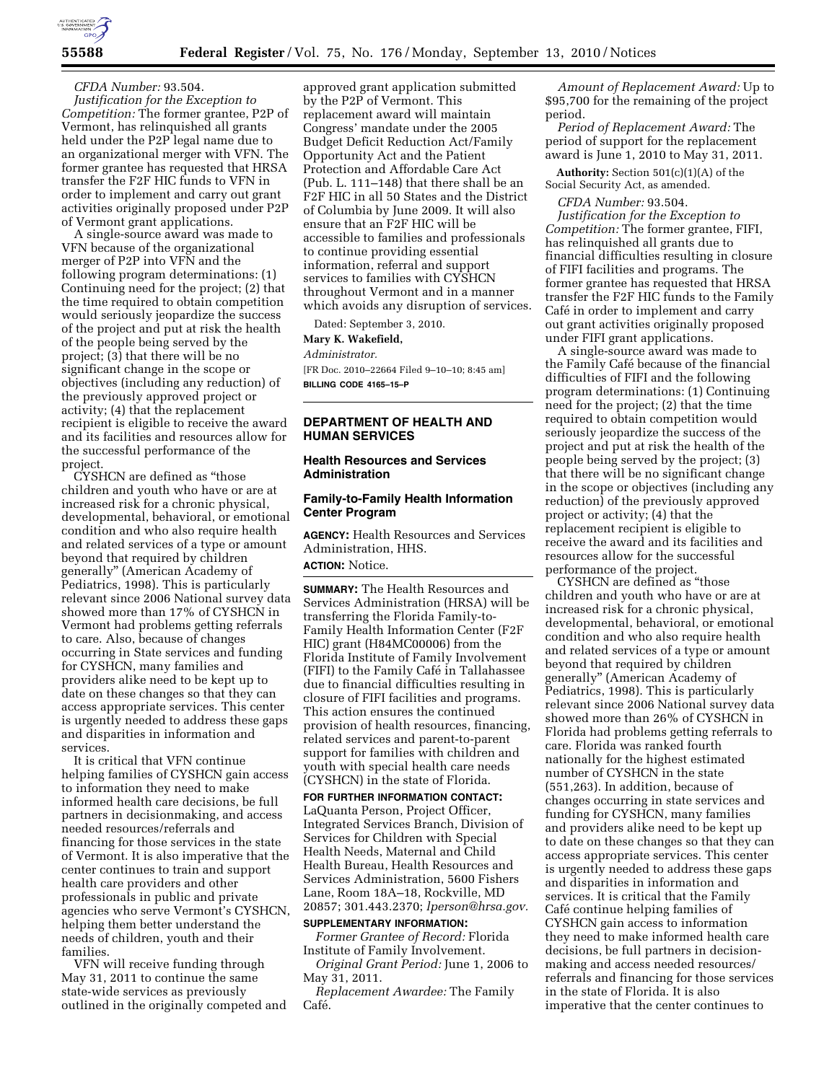

*CFDA Number:* 93.504. *Justification for the Exception to Competition:* The former grantee, P2P of Vermont, has relinquished all grants held under the P2P legal name due to an organizational merger with VFN. The former grantee has requested that HRSA transfer the F2F HIC funds to VFN in order to implement and carry out grant activities originally proposed under P2P of Vermont grant applications.

A single-source award was made to VFN because of the organizational merger of P2P into VFN and the following program determinations: (1) Continuing need for the project; (2) that the time required to obtain competition would seriously jeopardize the success of the project and put at risk the health of the people being served by the project; (3) that there will be no significant change in the scope or objectives (including any reduction) of the previously approved project or activity; (4) that the replacement recipient is eligible to receive the award and its facilities and resources allow for the successful performance of the project.

CYSHCN are defined as ''those children and youth who have or are at increased risk for a chronic physical, developmental, behavioral, or emotional condition and who also require health and related services of a type or amount beyond that required by children generally'' (American Academy of Pediatrics, 1998). This is particularly relevant since 2006 National survey data showed more than 17% of CYSHCN in Vermont had problems getting referrals to care. Also, because of changes occurring in State services and funding for CYSHCN, many families and providers alike need to be kept up to date on these changes so that they can access appropriate services. This center is urgently needed to address these gaps and disparities in information and services.

It is critical that VFN continue helping families of CYSHCN gain access to information they need to make informed health care decisions, be full partners in decisionmaking, and access needed resources/referrals and financing for those services in the state of Vermont. It is also imperative that the center continues to train and support health care providers and other professionals in public and private agencies who serve Vermont's CYSHCN, helping them better understand the needs of children, youth and their families.

VFN will receive funding through May 31, 2011 to continue the same state-wide services as previously outlined in the originally competed and

approved grant application submitted by the P2P of Vermont. This replacement award will maintain Congress' mandate under the 2005 Budget Deficit Reduction Act/Family Opportunity Act and the Patient Protection and Affordable Care Act (Pub. L. 111–148) that there shall be an F2F HIC in all 50 States and the District of Columbia by June 2009. It will also ensure that an F2F HIC will be accessible to families and professionals to continue providing essential information, referral and support services to families with CYSHCN throughout Vermont and in a manner which avoids any disruption of services.

Dated: September 3, 2010.

# **Mary K. Wakefield,**

#### *Administrator.*

[FR Doc. 2010–22664 Filed 9–10–10; 8:45 am] **BILLING CODE 4165–15–P** 

# **DEPARTMENT OF HEALTH AND HUMAN SERVICES**

#### **Health Resources and Services Administration**

#### **Family-to-Family Health Information Center Program**

**AGENCY:** Health Resources and Services Administration, HHS.

### **ACTION:** Notice.

**SUMMARY:** The Health Resources and Services Administration (HRSA) will be transferring the Florida Family-to-Family Health Information Center (F2F HIC) grant (H84MC00006) from the Florida Institute of Family Involvement (FIFI) to the Family Café in Tallahassee due to financial difficulties resulting in closure of FIFI facilities and programs. This action ensures the continued provision of health resources, financing, related services and parent-to-parent support for families with children and youth with special health care needs (CYSHCN) in the state of Florida.

**FOR FURTHER INFORMATION CONTACT:**  LaQuanta Person, Project Officer, Integrated Services Branch, Division of Services for Children with Special Health Needs, Maternal and Child Health Bureau, Health Resources and Services Administration, 5600 Fishers Lane, Room 18A–18, Rockville, MD 20857; 301.443.2370; *[lperson@hrsa.gov.](mailto:lperson@hrsa.gov)* 

# **SUPPLEMENTARY INFORMATION:**

*Former Grantee of Record:* Florida Institute of Family Involvement.

*Original Grant Period:* June 1, 2006 to May 31, 2011.

*Replacement Awardee:* The Family Café.

*Amount of Replacement Award:* Up to \$95,700 for the remaining of the project period.

*Period of Replacement Award:* The period of support for the replacement award is June 1, 2010 to May 31, 2011.

**Authority:** Section 501(c)(1)(A) of the Social Security Act, as amended.

*CFDA Number:* 93.504.

*Justification for the Exception to Competition:* The former grantee, FIFI, has relinquished all grants due to financial difficulties resulting in closure of FIFI facilities and programs. The former grantee has requested that HRSA transfer the F2F HIC funds to the Family Café in order to implement and carry out grant activities originally proposed under FIFI grant applications.

A single-source award was made to the Family Café because of the financial difficulties of FIFI and the following program determinations: (1) Continuing need for the project; (2) that the time required to obtain competition would seriously jeopardize the success of the project and put at risk the health of the people being served by the project; (3) that there will be no significant change in the scope or objectives (including any reduction) of the previously approved project or activity; (4) that the replacement recipient is eligible to receive the award and its facilities and resources allow for the successful performance of the project.

CYSHCN are defined as ''those children and youth who have or are at increased risk for a chronic physical, developmental, behavioral, or emotional condition and who also require health and related services of a type or amount beyond that required by children generally'' (American Academy of Pediatrics, 1998). This is particularly relevant since 2006 National survey data showed more than 26% of CYSHCN in Florida had problems getting referrals to care. Florida was ranked fourth nationally for the highest estimated number of CYSHCN in the state (551,263). In addition, because of changes occurring in state services and funding for CYSHCN, many families and providers alike need to be kept up to date on these changes so that they can access appropriate services. This center is urgently needed to address these gaps and disparities in information and services. It is critical that the Family Café continue helping families of CYSHCN gain access to information they need to make informed health care decisions, be full partners in decisionmaking and access needed resources/ referrals and financing for those services in the state of Florida. It is also imperative that the center continues to